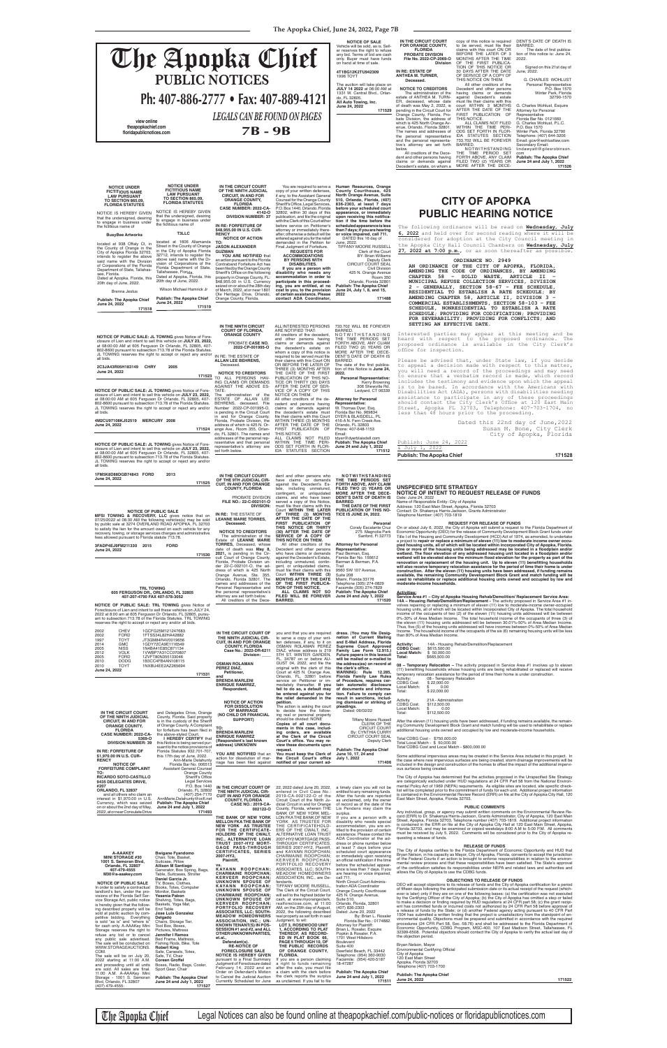**The Apopka Chief, June 24, 2022, Page 7B**

You are required to serve a Human Resources, Orange<br>copy of your written defenses, County Courthouse, 425<br>if any, to the Assistant General North Orange Avenue, Suite<br>Counsel for the Orange County 510, Orlando, Florida, (40

**IN THE CIRCUIT COURT OF THE 9TH JUDICIAL CIR-CUIT, IN AND FOR ORANGE COUNTY, FLORIDA** 

PROBATE DIVISION **FILE NO.: 22-C-002101-O DIVISION: IN RE:** THE ESTATE OF **LEANNE MARIE TORRES, Deceased. NOTICE TO CREDITORS** The administration of the Estate of **LEANNE MARIE TORRES,** Deceased, whose date of death was **May 8, 2021,** is pending in the Cir-cuit Court of Orange County, Florida, Probate Division un-der 22-C-002101-O, the address of which is 425 North Orange Avenue, Ste. 355, Orlando, Florida 32801. The names and addresses of the Personal Representative and the personal representative's

dent and other persons who have claims or demands against the Decedent's Es-tate, including unmatured, contingent, or unliquidated

claims, and who have been<br>served a copy of this Notice,<br>must file their claims with this<br>Court **WITHIN THE LATER<br>OF THREE (3) MONTHS<br>AFTER THE DATE OF THE** 

**Personal<br>Coraly Escalante Cruz**<br>275 Magnolia Park Sanford, Fl 32773

**FIRST PUBLICATION OF THIS NOTICE OR THIRTY (30) AFTER THE DATE OF SERVICE OF A COPY OF THIS NOTICE ON THEM.**

**NOTICE OF INTENT TO REQUEST RELEASE OF FUNDS**<br>Date: June 24, 2022<br>Name of Responsible Entity: City of Apopka<br>Address: 120 East Main Street, Apopka, Florida 32703<br>Contact: Dr. Shakenya Harris-Jackson, Grants Administrator Telephone Number: (407) 703-1819

All other creditors of the Decedent and other persons who have claims or demands against the Decedent's Estate, including unmatured, contin-gent, or unliquidated claims, **DENT'S DATE OF DEATH IS BARRED**. **THE DATE OF THE FIRST PUBLICATION OF THIS NO-TICE IS JUNE 24, 2022.**

> **REQUEST FOR RELEASE OF FUNDS**<br>On or about July 6, 2022, the City of Apopka will submit a request to the Florida Department of<br>Economic Opportunity (DEO) for the release of Community Development Block Grant funds under<br>Tit a project to repair or replace a minimum of eleven (11) low to moderate income owner occu-<br>pied housing units, all of which will be located within incorporated City of Apopka, Florida.<br>One or more of the housing units bein wetland will be elevated above the minimum flood elevation for the property as part of the<br>renovation or replacement of the housing unit. Up to eleven (11) benefitting households will also receive temporary relocation assistance for the period of time their home is under construction. After the eleven (11) housing units have been addressed, if funding remains<br>available, the remaining Community Development Block Grant and match funding will be<br>used to rehabilitate or replace additional hou **moderate-income households.**

**Attorney for Personal Representative:** Paul Berman, Esq. Florida Bar No. 156612 Berman & Berman, P.A. Trail<br>9560 SW 107 Avenue 9560 SW 107 Avenue, Suite 208 Miami, Florida 33176 Telephone (305) 274-0829 **UNSPECIFIED SITE STRATEGY**

#### Facsimile (305) 274-7829 **Publish: The Apopka Chief Activities:**

**171523 NOTICE TO CREDITORS** TO ALL PERSONS HAV-ING CLAIMS OR DEMANDS PROBATE **CASE NO. 2022-CP-001995-O** IN RE: THE ESTATE OF **ALLAN LEE BEHRENS,** Deceased. AGAINST THE ABOVE ES-TATE: The administration of the ESTATE OF ALLAN LEE BEHRENS, deceased, File Number 2022-CP-001995-O, is pending in the Circuit Court in and for Orange County, Florida, Probate Division, the address of which is 425 N. Orange Ave., Room 355, Orlan-do, FL 32801. The names and addresses of the personal rep-resentative and that personal representative's attorney are set forth below. All creditors of the decedent, and other persons having claims or demands against the decedent's estate on whom a copy of this notice is<br>required to be served must file required to be served must file<br>their claims with this Court ON<br>OR BEFORE THE LATER OF<br>THREE (3) MONTHS AFTER<br>THE DATE OF THE FIRST<br>PUBLICATION OF THIS NO-<br>TICE OR THIRTY (30) DAYS AFTER THE DATE OF SER-VICE OF A COPY OF THIS NOTICE ON THEM. All other creditors of the de-<br>cedent and persons having<br>claims or demands against<br>the decedent's estate must<br>file their claims with this Court<br>WITHIN THREE (3) MONTHS<br>AFTER THE DATE OF THE<br>FIRST PUBLICATION OF ALL CLAIMS NOT FILED<br>WITHIN THE TIME PERI-<br>ODS SET FORTH IN FLOR-<br>IDA STATUTES SECTION

**NOTICE OF PUBLIC SALE: JL TOWING** gives Notice of Fore-<br>closure of Lien and intent to sell this vehicle on **JULY 23, 2022**,<br>at 08:00:00 AM at 605 Ferguson Dr Orlando, FL 32805, 407-<br>802-8600 pursuant to subsection 713.78 all bids.

of death was May 2, 2022, is pending in the Circuit Court for Orange County, Florida, Pro-bate Division, the address of which is 425 North Orange Avenue, Orlando, Florida 32801. The names and addresses of the personal representative and the personal representa-tive's attorney are set forth below. court WITHIN 3 MONTHS AFTER THE DATE OF THE<br>FIRST PUBLICATION OF<br>THIS NOTICE.<br>ALL CLAIMS NOT FILED<br>WITHIN THE TIME PERI-<br>ODS SET FORTH IN FLOR-<br>IDA STATUTES SECTION

THIS NOTICE ON THEM. All other creditors of the Decedent and other persons having claims or demands against Decedent's estate must file their claims with this

> **Representative** Florida Bar No. 0121660 G. Charles Wohlust, P.L.C. P.O. Box 1570 Winter Park, Florida 32790

Telephone: (407) 644-3206 Email: gcw@wohlustlaw.com Secondary Email: lindawyatt@gilesrobinson. com<br>**Publish: The Apopka Chief** 

NOTICE IS HEREBY GIVEN that the undersigned, desiring to engage in business under the fictitious name of NOTICE IS HEREBY GIVEN that the undersigned, desiring to engage in business under the fictitious name of

**NOTICE OF PUBLIC SALE: JL TOWING** gives Notice of Fore-closure of Lien and intent to sell this vehicle on **JULY 23, 2022,** at 08:00:00 AM at 605 Ferguson Dr Orlando, FL 32805, 407- 802-8600 pursuant to subsection 713.78 of the Florida Statutes.

JL TOWING reserves the right to accept or reject any and/or all bids.

appearance, or immediately<br>upon receiving this notifica**tion if the time before the scheduled appearance is less than 7 days; if you are hearing or voice impaired, call 711.** DATED this 16 day of June, 2022. TIFFANY MOORE RUSSELL

**2C3JA43R05H183149 CHRY 2005 June 24, 2022**

**NOTICE OF PUBLIC SALE: JL TOWING** gives Notice of Fore-closure of Lien and intent to sell this vehicle on **JULY 23, 2022,** at 08:00:00 AM at 605 Ferguson Dr Orlando, FL 32805, 407- 802-8600 pursuant to subsection 713.78 of the Florida Statutes. JL TOWING reserves the right to accept or reject any and/or all bids.

**4M2CU97108KJ52519 MERCURY 2008 June 24, 2022**

**171524**

**1FM5K8D88DGB74843 FORD 2013 June 24, 2022**

**171525**

**Division**

**Personal Representative:** Kerry Browning 306 Shewville Rd. Ledyard, CT 06339

**IN RE: ESTATE OF ANTHEA M. TURNER, Deceased.**

> All creditors of the Decedent and other persons having claims or demands against Decedent's estate, on whom a 733.702 WILL BE FOREVER BARRED. NOTWITHSTANDING THE TIME PERIOD SET FORTH ABOVE, ANY CLAIM FILED TWO (2) YEARS OR MORE AFTER THE DECE-

OF THE FIRST PUBLICA-TION OF THIS NOTICE OR 30 DAYS AFTER THE DATE OF SERVICE OF A COPY OF 2022. Signed on this 21st day of June, 2022.

G. CHARLES WOHLUST Personal Representative P.O. Box 1570 Winter Park, Florida 32790-1570

G. Charles Wohlust, Esquire Attorney for Personal

**Publish: The Apopka Chief June 24 and July 1, 2022 171526**

Interested parties may appear at this meeting and be heard with respect to the proposed ordinance.

copy of this notice is required<br>to be served, must file their<br>claims with this court ON OR BEFORE THE LATER OF 3 MONTHS AFTER THE TIME DENT'S DATE OF DEATH IS BARRED. The date of first publication of this notice is: June 24,

| <b>TRL TOWING</b><br>605 FERGUSON DR., ORLANDO, FL 32805<br>407-207-4790 FAX 407-578-3052                                                                                                                                                                                                                                                                                                                                                                                                                             |                                                                                                                                                                                                                                                                                                                                                         | dress of which is 425 North<br>Orange Avenue, Ste. 355,<br>Orlando, Florida 32801. The<br>names and addresses of the<br>Personal Representative and<br>the personal representative's<br>attorney are set forth below.                                                                                                                                                                       | must file their claims with this<br>Court WITHIN THREE (3)<br><b>MONTHS AFTER THE DATE</b><br>OF THE FIRST PUBLICA-<br>TION OF THIS NOTICE.<br>ALL CLAIMS NOT SO<br>FILED WILL BE FOREVER                                                                                                                                                                                                                                                                                    | 9560 SW 107 Avenue,<br>Suite 208<br>Miami, Florida 33176<br>Telephone (305) 274-0829<br>Facsimile (305) 274-7829<br><b>Publish: The Apopka Chief</b><br>June 24 and July 1, 2022                                                                                                                                                                                                        | construction. After the eleven (11) housing units have been addressed, if funding remains<br>available, the remaining Community Development Block Grant and match funding will be<br>used to rehabilitate or replace additional housing units owned and occupied by low and<br>moderate-income households.<br><b>Activities:</b><br>Service Area #1 – City of Apopka Housing Rehab/Demolition/ Replacement Service Area:                                                                                                                                                                                                                                                                                                                                                                                                                                                                                                                                                                                                                                                                                                                                                                                                                                                                                        |
|-----------------------------------------------------------------------------------------------------------------------------------------------------------------------------------------------------------------------------------------------------------------------------------------------------------------------------------------------------------------------------------------------------------------------------------------------------------------------------------------------------------------------|---------------------------------------------------------------------------------------------------------------------------------------------------------------------------------------------------------------------------------------------------------------------------------------------------------------------------------------------------------|---------------------------------------------------------------------------------------------------------------------------------------------------------------------------------------------------------------------------------------------------------------------------------------------------------------------------------------------------------------------------------------------|------------------------------------------------------------------------------------------------------------------------------------------------------------------------------------------------------------------------------------------------------------------------------------------------------------------------------------------------------------------------------------------------------------------------------------------------------------------------------|-----------------------------------------------------------------------------------------------------------------------------------------------------------------------------------------------------------------------------------------------------------------------------------------------------------------------------------------------------------------------------------------|-----------------------------------------------------------------------------------------------------------------------------------------------------------------------------------------------------------------------------------------------------------------------------------------------------------------------------------------------------------------------------------------------------------------------------------------------------------------------------------------------------------------------------------------------------------------------------------------------------------------------------------------------------------------------------------------------------------------------------------------------------------------------------------------------------------------------------------------------------------------------------------------------------------------------------------------------------------------------------------------------------------------------------------------------------------------------------------------------------------------------------------------------------------------------------------------------------------------------------------------------------------------------------------------------------------------|
| NOTICE OF PUBLIC SALE: TRL TOWING gives Notice of<br>Foreclosure of Lien and intent to sell these vehicles on JULY 24,<br>2022 at 8:00 am at 605 Ferguson Dr Orlando, FL 32805, pursu-<br>ant to subsection 713.78 of the Florida Statutes. TRL TOWING<br>reserves the right to accept or reject any and/or all bids.<br>2002<br>CHEV                                                                                                                                                                                 | 1GCFG25M121247683                                                                                                                                                                                                                                                                                                                                       | All creditors of the Dece-                                                                                                                                                                                                                                                                                                                                                                  | <b>BARRED.</b>                                                                                                                                                                                                                                                                                                                                                                                                                                                               | 171520                                                                                                                                                                                                                                                                                                                                                                                  | 14A - Housing Rehab/Demolition/Replacement - The activity proposed in Service Area #1 in-<br>volves repairing or replacing a minimum of eleven (11) low to moderate-income owner-occupied<br>housing units, all of which will be located within Incorporated City of Apopka. The total household<br>income of the occupants of two (2) of the eleven (11) housing units addressed will be between<br>0%-30% of Area Median Income. The total household income of the occupants of three (3) of<br>the eleven (11) housing units addressed will be between 30.01%-50% of Area Median Income.<br>Thus, five (5) of the housing units addressed will have incomes between 0%-50% of Area Median<br>Income. The household income of the occupants of the six (6) remaining housing units will be less                                                                                                                                                                                                                                                                                                                                                                                                                                                                                                               |
| <b>FORD</b><br>2002<br>1997<br><b>TOYT</b><br>2014<br><b>GMC</b><br><b>NISS</b><br>2005<br><b>VOLK</b><br>2012<br><b>FORD</b><br>2005<br>2010<br><b>DODG</b>                                                                                                                                                                                                                                                                                                                                                          | 1FTSS34L82HA42882<br>JT3GM84R4V0019656<br>1GDY72CA9E1116549<br>1N4BA41E85C871134<br>1VWBP7A31CC070807<br>1ZVFT80N355133046<br>1B3CC4FB4AN108115                                                                                                                                                                                                         | IN THE CIRCUIT COURT OF<br>THE NINTH JUDICIAL CIR-<br><b>CUIT. IN AND FOR ORANGE</b><br><b>COUNTY, FLORIDA</b><br>Case No.: 2022-DR-6211<br>Division:                                                                                                                                                                                                                                       | you and that you are required<br>to serve a copy of your writ-<br>ten defenses, if any, to it on<br>OSMAN ROLAMAN PEREZ<br>DIAZ, whose address is 219<br>5TH ST. WINTER GARDEN,<br>FL. 34787 on or before AU-                                                                                                                                                                                                                                                                | dress. (You may file Desig-<br>nation of Current Mailing<br>and E-Mail Address, Florida<br>Supreme Court Approved<br>Family Law Form 12.915.)<br>Future papers in this lawsuit<br>will be mailed or e-mailed to                                                                                                                                                                         | than 80% of Area Median Income.<br>Activity:<br>14A - Housing Rehab/Demolition/Replacement<br><b>CDBG Cost:</b><br>\$615,500.00<br>\$50,000.00<br>Local Match:<br>\$665,500.00<br>Total:                                                                                                                                                                                                                                                                                                                                                                                                                                                                                                                                                                                                                                                                                                                                                                                                                                                                                                                                                                                                                                                                                                                        |
| 2010<br><b>TOYT</b><br>June 24, 2022                                                                                                                                                                                                                                                                                                                                                                                                                                                                                  | 1NXBU4EE2AZ265694<br>171531                                                                                                                                                                                                                                                                                                                             | <b>OSMAN ROLAMAN</b><br>PEREZ DIAZ,<br>Petitioner,<br>and<br><b>BRENDA MARLENI</b><br><b>ENRIQUE RAMIREZ,</b><br>Respondent,                                                                                                                                                                                                                                                                | GUST 04, 2022, and file the<br>original with the clerk of this<br>Court at 425 N. Orange Ave,<br>Orlando, FL. 32801 before<br>service on Petitioner or im-<br>mediately thereafter. If you<br>fail to do so, a default may<br>be entered against you for                                                                                                                                                                                                                     | the address(es) on record at<br>the clerk's office.<br>WARNING: Rule 12.285,<br>Florida Family Law Rules<br>of Procedure, requires cer-<br>tain automatic disclosure<br>of documents and informa-<br>tion. Failure to comply can                                                                                                                                                        | 08 - Temporary Relocation - The activity proposed in Service Area #1 involves up to eleven<br>(11) benefitting households whose housing units are being rehabilitated or replaced will receive<br>temporary relocation assistance for the period of time their home is under construction.<br>08 - Temporary Relocation<br>Activity:<br>CDBG Cost:<br>\$22,000.00<br>Local Match:<br>\$<br>0.00<br>Total:<br>\$22,000.00                                                                                                                                                                                                                                                                                                                                                                                                                                                                                                                                                                                                                                                                                                                                                                                                                                                                                        |
| IN THE CIRCUIT COURT<br>OF THE NINTH JUDICIAL                                                                                                                                                                                                                                                                                                                                                                                                                                                                         | and Delegates Drive, Orange<br>County, Florida. Said property                                                                                                                                                                                                                                                                                           | <b>NOTICE OF ACTION</b><br><b>FOR DISSOLUTION</b><br>OF MARRIAGE<br>(NO CHILD OR FINANCIAL<br>SUPPORT)                                                                                                                                                                                                                                                                                      | the relief demanded in the<br>petition.<br>The action is asking the court<br>to decide how the follow-<br>ing real or personal property<br>should be divided: NONE                                                                                                                                                                                                                                                                                                           | result in sanctions, includ-<br>ing dismissal or striking of<br>pleadings.<br>Dated: 06/02/22<br><b>Tiffany Moore Russell</b>                                                                                                                                                                                                                                                           | Activity<br>21A - Administration<br>CDBG Cost:<br>\$112,500.00<br>Local Match:<br>$\mathfrak{S}$<br>0.00<br>\$112,500.00<br>Total:                                                                                                                                                                                                                                                                                                                                                                                                                                                                                                                                                                                                                                                                                                                                                                                                                                                                                                                                                                                                                                                                                                                                                                              |
| <b>CIRCUIT, IN AND FOR</b><br><b>ORANGE COUNTY.</b><br><b>FLORIDA</b><br>CASE NUMBER: 2022-CA-                                                                                                                                                                                                                                                                                                                                                                                                                        | is in the custody of the Sheriff<br>of Orange County. A Complaint<br>for forfeiture has been filed in<br>the above-styled Court.                                                                                                                                                                                                                        | TO:<br><b>BRENDA MARLENI</b><br><b>ENRIQUE RAMIREZ</b>                                                                                                                                                                                                                                                                                                                                      | Copies of all court docu-<br>ments in this case, includ-<br>ing orders, are available<br>at the Clerk of the Circuit                                                                                                                                                                                                                                                                                                                                                         | <b>CLERK OF THE</b><br><b>CIRCUIT COURT</b><br>By: CYNTHIA CURRY<br><b>CIRCUIT COURT SEAL</b>                                                                                                                                                                                                                                                                                           | After the eleven (11) housing units have been addressed, if funding remains available, the remain-<br>ing Community Development Block Grant and match funding will be used to rehabilitate or replace<br>additional housing units owned and occupied by low and moderate-income households.                                                                                                                                                                                                                                                                                                                                                                                                                                                                                                                                                                                                                                                                                                                                                                                                                                                                                                                                                                                                                     |
| 5369-O<br><b>DIVISION NUMBER: 39</b><br>IN RE: FORFEITURE OF                                                                                                                                                                                                                                                                                                                                                                                                                                                          | I HEREBY CERTIFY that<br>this Notice is being served pur-<br>suant to the notice provisions of<br>Florida Statutes 932.701-707,                                                                                                                                                                                                                         | {Respondent's last known<br>address} UNKNOWN<br>YOU ARE NOTIFIED that an                                                                                                                                                                                                                                                                                                                    | Court's office. You may re-<br>view these documents upon<br>request.<br>You must keep the Clerk of                                                                                                                                                                                                                                                                                                                                                                           | <b>Deputy Clerk</b><br><b>Publish: The Apopka Chief</b><br>June 10, 17, 24 and                                                                                                                                                                                                                                                                                                          | Total CDBG Cost - \$750,000.00<br>Total Local Match - \$ 50,000.00<br>Total CDBG Cost and Local Match - \$800,000.00                                                                                                                                                                                                                                                                                                                                                                                                                                                                                                                                                                                                                                                                                                                                                                                                                                                                                                                                                                                                                                                                                                                                                                                            |
| \$1,970.00 IN U.S. CUR-<br><b>RENCY</b><br><b>NOTICE OF</b><br><b>FORFEITURE COMPLAINT</b>                                                                                                                                                                                                                                                                                                                                                                                                                            | this 17th day of June, 2022.<br>Ann-Marie Delahunty<br>Florida Bar No. 006513<br>Assistant General Counsel                                                                                                                                                                                                                                              | action for dissolution of mar-<br>riage has been filed against                                                                                                                                                                                                                                                                                                                              | the Circuit Court's office<br>notified of your current ad-                                                                                                                                                                                                                                                                                                                                                                                                                   | July 1, 2022<br>171406                                                                                                                                                                                                                                                                                                                                                                  | Some additional impervious areas may be created in the Service Area included in this project. In<br>the case where new impervious surfaces are being created, storm drainage improvements will be<br>included in the design and construction of the homes to offset the impact of the additional impervi-<br>ous surfaces being created.                                                                                                                                                                                                                                                                                                                                                                                                                                                                                                                                                                                                                                                                                                                                                                                                                                                                                                                                                                        |
| TO:<br><b>RICARDO SOTO-CASTILLO</b><br>9435 DELEGATES DRIVE,<br>#207<br>ORLANDO, FL 32837<br>and all others who claim an<br>interest in \$1,970.00 in U.S.<br>Currency, which was seized<br>on or about the 2nd day of May,                                                                                                                                                                                                                                                                                           | <b>Orange County</b><br>Sheriff's Office<br><b>Legal Services</b><br>P.O. Box 1440<br>Orlando, FL 32802<br>(407) 254-7170<br>AnnMarie.Delahunty@ocfl.net<br><b>Publish: The Apopka Chief</b><br>June 24 and July 1, 2022                                                                                                                                | IN THE CIRCUIT COURT OF<br>THE NINTH JUDICIAL CIR-<br><b>CUIT IN AND FOR ORANGE</b><br><b>COUNTY, FLORIDA</b><br><b>CASE NO.: 2019-CA-</b><br>002122-0                                                                                                                                                                                                                                      | 22, 2022 dated June 20, 2022,<br>entered in Civil Case No.:<br>2019-CA-002122-O of the<br>Circuit Court of the Ninth Ju-<br>dicial Circuit in and for Orange<br>County, Florida, wherein THE                                                                                                                                                                                                                                                                                 | a timely claim you will not be<br>entitled to any remaining funds.<br>After the funds are reported<br>as unclaimed, only the owner<br>of record as of the date of the<br>Lis Pendens may claim the                                                                                                                                                                                      | The City of Apopka has determined that the activities proposed in the Unspecified Site Strategy<br>are categorically excluded under HUD regulations at 24 CFR Part 58 from the National Environ-<br>mental Policy Act of 1969 (NEPA) requirements. As eligible sites are located, site specific check-<br>list will be completed prior to the commitment of funds for each unit. Additional project information<br>is contained in the Environmental Review Record (ERR) on file at the City of Apopka City Hall, 120<br>East Main Street, Apopka, Florida 32703.<br><b>PUBLIC COMMENTS</b>                                                                                                                                                                                                                                                                                                                                                                                                                                                                                                                                                                                                                                                                                                                     |
| 2022, at or near Consulate Drive                                                                                                                                                                                                                                                                                                                                                                                                                                                                                      | 171493                                                                                                                                                                                                                                                                                                                                                  | THE BANK OF NEW YORK<br><b>MELLON FKA THE BANK OF</b><br>NEW YORK AS TRUSTEE<br>FOR THE CERTIFICATE-<br>HOLDERS OF THE CWALT,<br>INC., ALTERNATIVE LOAN<br>TRUST 2007-HY2 MORT-                                                                                                                                                                                                             | BANK OF NEW YORK MEL-<br>LON FKATHE BANK OF NEW<br>YORK AS TRUSTEE FOR<br>THE CERTIFICATEHOLD-<br>ERS OF THE CWALT, INC.<br>ALTERNATIVE LOAN TRUST<br>2007-HY2 MORTGAGE PASS-<br>THROUGH CERTIFICATES,                                                                                                                                                                                                                                                                       | surplus.<br>If you are a person with a<br>disability who needs special<br>accommodation, you are en-<br>titled to the provision of certain<br>assistance. Please contact the<br>ADA Coordinator at the ad-<br>dress or phone number below                                                                                                                                               | Any individual, group, or agency may submit written comments on the Environmental Review Re-<br>cord (ERR) to Dr. Shakenya Harris-Jackson, Grants Administrator, City of Apopka, 120 East Main<br>Street, Apopka, Florida 32703, Telephone number (407) 703-1819. Additional project information<br>is contained in the ERR on file at the City of Apopka City Hall at 120 East Main Street, Apopka,<br>Florida 32703, and may be examined or copied weekdays 8:00 A.M to 5:00 P.M. All comments<br>must be received by July 5, 2022. Comments will be considered prior to the City of Apopka re-<br>questing a release of funds.                                                                                                                                                                                                                                                                                                                                                                                                                                                                                                                                                                                                                                                                               |
| A-AAAKEY<br><b>MINI STORAGE #30</b><br>1001 S. Semoran Blvd,<br>Orlando, FL 32807<br>407-479-4555<br>M30@a-aaakey.com                                                                                                                                                                                                                                                                                                                                                                                                 | <b>Bwigane Fyandomo</b><br>Chair, Tote, Basket,<br>Suitcase, Pillow<br><b>Allison M Santiago</b><br>Generator, Box Spring, Bags,<br>Table, Suitcases, Stroller                                                                                                                                                                                          | <b>GAGE PASS-THROUGH</b><br><b>CERTIFICATES, SERIES</b><br>2007-HY2,<br>Plaintiff,<br>VS.<br>KAYANN ROOPCHAN;<br><b>CHARMAINE ROOPCHAN:</b>                                                                                                                                                                                                                                                 | SERIES 2007-HY2, Plaintiff,<br>and KAYANN ROOPCHAN:<br>CHARMAINE ROOPCHAN;<br>KERVEER ROOPCHAN;<br>PORTFOLIO RECOVERY<br>ASSOCIATES, LLC; SOUTH-<br>MEADOW HOMEOWNERS                                                                                                                                                                                                                                                                                                        | at least 7 days before your<br>scheduled court appearance<br>or immediately upon receiving<br>an official notification if the time<br>before the scheduled appear-<br>ance is less than 7 days. If you<br>are hearing or voice impaired,                                                                                                                                                | <b>RELEASE OF FUNDS</b><br>The City of Apopka certifies to the Florida Department of Economic Opportunity and HUD that<br>Bryan Nelson, in his capacity as Mayor, City of Apopka, Florida, consents to accept the jurisdiction<br>of the Federal Courts if an action is brought to enforce responsibilities in relation to the environ-<br>mental review process and that these responsibilities have been satisfied. The State's approval<br>of the certification satisfies its responsibilities under NEPA and related laws and authorities and<br>allows the City of Apopka to use the CDBG funds.                                                                                                                                                                                                                                                                                                                                                                                                                                                                                                                                                                                                                                                                                                           |
| <b>NOTICE OF PUBLIC SALE</b><br>In order to satisfy a contractual<br>landlord's lien, under the pro-<br>visions of the Florida Self Ser-<br>vice Storage Act, public notice<br>is hereby given that the follow-<br>ing described property will be<br>sold at public auction by com-<br>petitive bidding. Everything<br>is sold "as is" and "where is"<br>for cash only. A-AAAKey Mini<br>Storage reserves the right to<br>refuse any bid or to cancel<br>any public sale advertised.<br>The sale will be conducted on | Daniel Garcia Jr.<br>TV, Boxes, Clothes,<br>Books, Totes, Computer<br>Monitor, Baskets<br>Yesenia Pabon<br>Shelving, Totes, Bags,<br>Baskets, Yoga Mat,<br>End Table<br>Jose Luis Gonzalez<br>Delgado<br>Chairs, Storage Tier,<br>Tool Box, Boxes,<br><b>Pictures, Mattress</b><br>Jennifer I Ramos<br>Bed Frame, Mattress,<br>Fishing Rods, Bike, Tote | <b>KERVEER ROOPCHAN;</b><br>UNKNOWN SPOUSE OF<br>KAYANN ROOPCHAN;<br>UNKNOWN SPOUSE OF<br><b>CHARMAINE ROOPCHAN;</b><br>UNKNOWN SPOUSE OF<br>KERVEER ROOPCHAN;<br>PORTFOLIO RECOVERY<br>ASSOCIATES, LLC; SOUTH-<br><b>MEADOW HOMEOWNERS</b><br>ASSOCIATION, INC.; UN-<br><b>KNOWN TENANT(S) IN POS-</b><br>SESSION #1 and #2, and ALL<br>OTHER UNKNOWN PARTIES,<br>et.al.,<br>Defendant(s). | ASSOCIATION, INC., are De-<br>fendants.<br>TIFFANY MOORE RUSSELL,<br>The Clerk of the Circuit Court.<br>will sell to the highest bidder for<br>cash, at www.myorangeclerk.<br>realforeclose.com, at 11:00<br>AM, on the 25th day of August,<br>2022, the following described<br>real property as set forth in said<br>Judgment, to wit:<br><b>LOT 3, ROSEWOOD UNIT</b><br><b>1, ACCORDING TO PLAT</b><br>THEREOF, AS RECORD-<br>ED IN PLAT BOOK 66,<br>PAGE 5 THROUGH 10, OF | call 711.<br>Ninth Circuit Court Adminis-<br>tration ADA Coordinator<br>Orange County Courthouse<br>425 N. Orange Avenue,<br>Suite 510,<br>Orlando, Florida, 32801<br>(407) 836-2303<br>Dated: June 20, 2022<br>By: Brian L. Rosaler<br>Florida Bar No.: 0174882.<br>Attorney for Plaintiff:<br>Brian L. Rosaler, Esquire<br>Popkin & Rosaler, P.A.<br>1701 West Hillsboro<br>Boulevard | <b>OBJECTIONS TO RELEASE OF FUNDS</b><br>DEO will accept objections to its release of funds and the City of Apopka certification for a period<br>of fifteen days following the anticipated submission date or its actual receipt of the request (which-<br>ever is later) only if they are on one of the following bases: (a) the certification was not executed<br>by the Certifying Officer of the City of Apopka; (b) the City of Apopka has omitted a step or failed<br>to make a decision or finding required by HUD regulations at 24 CFR part 58; (c) the grant recipi-<br>ent has committed funds or incurred costs not authorized by 24 CFR Part 58 before approval of<br>a release of funds by the State; or (d) another Federal agency acting pursuant to 40 CFR Part<br>1504 has submitted a written finding that the project is unsatisfactory from the standpoint of en-<br>vironmental quality. Objections must be prepared and submitted in accordance with the required<br>procedures (24 CFR Part 58, Sec. 58.76) and shall be addressed to the Florida Department of<br>Economic Opportunity, CDBG Program, MSC-400, 107 East Madison Street, Tallahassee, FL<br>32399-6508. Potential objectors should contact the City of Apopka to verify the actual last day of<br>the objection period. |
| WWW.STORAGEAUCTIONS.<br>COM.<br>The sale will be on July 20,<br>2022 starting at 11:00 A.M.                                                                                                                                                                                                                                                                                                                                                                                                                           | <b>Robert King</b><br>Safe, Carseats, Totes,<br>Safe, TV, Chair<br><b>Coreen Groffel</b>                                                                                                                                                                                                                                                                | <b>RE-NOTICE OF</b><br><b>FORECLOSURE SALE</b><br><b>NOTICE IS HEREBY GIVEN</b><br>pursuant to a Final Summary                                                                                                                                                                                                                                                                              | THE PUBLIC RECORDS<br>OF ORANGE COUNTY,<br><b>FLORIDA.</b><br>If you are a person claiming                                                                                                                                                                                                                                                                                                                                                                                   | Suite 400<br>Deerfield Beach, FL 33442<br>Telephone: (954) 360-9030<br>Facsimile: (954) 420-5187                                                                                                                                                                                                                                                                                        | Bryan Nelson, Mayor<br><b>Environmental Certifying Official</b><br>City of Apopka<br>120 East Main Street                                                                                                                                                                                                                                                                                                                                                                                                                                                                                                                                                                                                                                                                                                                                                                                                                                                                                                                                                                                                                                                                                                                                                                                                       |
| and proceeding until all units<br>are sold. All sales are final.<br>11:00 A.M. A-AAAKey Mini<br>Storage - 1001 S. Semoran                                                                                                                                                                                                                                                                                                                                                                                             | Boxes, Radio, Bags, Cooler,<br>Sport Gear, Chair<br><b>Publish: The Apopka Chief</b>                                                                                                                                                                                                                                                                    | Judgment of Foreclosure dated<br>February 14, 2022 and an<br>Order on Defendant's Motion<br>to Cancel the Judicial Auction                                                                                                                                                                                                                                                                  | a right to funds remaining<br>after the sale, you must file<br>a claim with the clerk before<br>the clerk reports the surplus                                                                                                                                                                                                                                                                                                                                                | 18-47287<br><b>Publish: The Apopka Chief</b><br>June 24 and July 1, 2022                                                                                                                                                                                                                                                                                                                | Apopka, Florida 32703<br>Telephone (407) 703-1700<br><b>Publish: The Apopka Chief</b>                                                                                                                                                                                                                                                                                                                                                                                                                                                                                                                                                                                                                                                                                                                                                                                                                                                                                                                                                                                                                                                                                                                                                                                                                           |
| Blvd, Orlando, FL 32807<br>(407) 479-4555:                                                                                                                                                                                                                                                                                                                                                                                                                                                                            | June 24 and July 1, 2022<br>171527                                                                                                                                                                                                                                                                                                                      | Currently Scheduled for June                                                                                                                                                                                                                                                                                                                                                                | as unclaimed. If you fail to file                                                                                                                                                                                                                                                                                                                                                                                                                                            | 171511                                                                                                                                                                                                                                                                                                                                                                                  | June 24, 2022<br>171522                                                                                                                                                                                                                                                                                                                                                                                                                                                                                                                                                                                                                                                                                                                                                                                                                                                                                                                                                                                                                                                                                                                                                                                                                                                                                         |

The Apopka Chief Legal Notices can also be found online at theapopkachief.com/public-notices or floridapublicnotices.com

### **NOTICE OF PUBLIC SALE**

**MFSI TOWING & RECOVERY, LLC** gives notice that on 07/25/2022 at 08:30 AM the following vehicles(s) may be sold by public sale at 3274 OVERLAND ROAD APOPKA, FL 32703 to satisfy the lien for the amount owed on each vehicle for any recovery, towing, or storage services charges and administrative fees allowed pursuant to Florida statute 713.78.

**3FADP4EJ9FM211330 2015 FORD June 24, 2022**

**171530**

**NOTICE UNDER FICTITIOUS NAME LAW PURSUANT TO SECTION 865.09, FLORIDA STATUTES**

#### **BusyBee Artworks**

located at 938 Offaly Ct, in the County of Orange in the City of Apopka Florida 32703, intends to register the above said name with the Division of Corporations of the Florida Department of State, Tallahassee, Florida. Dated at Apopka, Florida, this 20th day of June, 2022.

Brenna Jestus

**NOTICE UNDER FICTITIOUS NAME LAW PURSUANT TO SECTION 865.09, FLORIDA STATUTES**

**T3LLC**

#### **Publish: The Apopka Chief June 24, 2022 171518 Publish: The Apopka Chief June 24, 2022**

Street in the County of Orange in the City of Apopka Florida

32712, intends to register the above said name with the Di-vision of Corporations of the Florida Department of State, Tallahassee, Florida.

Dated at Apopka, Florida, this 20th day of June, 2022. Wilson Michael Hamrick Jr

**171519**

**IN THE CIRCUIT COURT OF THE NINTH JUDICIAL CIRCUIT, IN AND FOR ORANGE COUNTY, FLORIDA CASE NUMBER: 2022-CA-**

if any, to the Assistant General Counsel for the Orange County Sheriff's Offi ce, Legal Services, P.O. Box 1440, Orlando, Florida

located at 1606 Allamanda **TO: 4142-O DIVISION NUMBER: 37 IN RE: FORFEITURE OF \$48,955.00 IN U.S. CUR-RENCY NOTICE OF ACTION GUZMANDER**<br> **GUZMAN**<br> **YOU ARE NOTIFIED** that<br>
an action pursuant to the Florida<br>
Contraband Forfeiture Act has<br>
been fiied by the Orange County<br>
Sheriff's Office on the following property in Orange County, FL: \$48,955.00 in U.S. Currency seized on or about the 28th day of March, 2022, at or near 1801 Ole Heritage Drive, Orlando, Orange County, Florida. 32802, within 30 days of this<br>publication, and file the original with the Clerk of this Court either before service on Petitioner's attorney or immediately there-after; otherwise a default will be entered against you for the relief demanded in the Petition for Final Judgment of Forfeiture.<br>
REQUESTS FOR<br>
RCCOMMODATIONS<br>
BY PERSONS WITH<br>
DISABILITIES.<br>
If you are a person with<br>
disability who needs any<br>
accommodation in order to<br>
participate in this proceed-<br>
ing, you are entitle **cost to you, to the provision of certain assistance. Please contact ADA Coordinator, IN THE NINTH CIRCUIT COURT OF FLORIDA, ORANGE COUNTY** ARE NOTIFIED THAT:

**IN THE CIRCUIT COURT FOR ORANGE COUNTY, FLORIDA PROBATE DIVISION File No. 2022-CP-2069-O NOTICE OF SALE** Vehicle will be sold, as is. Seller reserves the right to refuse any bid. Terms of bid are cash only. Buyer must have funds on hand at time of sale. **4T1BG12K2TU942309**

> **NOTICE TO CREDITORS** The administration of the estate of ANTHEA M. TURN-ER, deceased, whose date **171529**

Clerk of the Court BY: Brian Williams Deputy Clerk CIRCUIT COURT SEAL

Civil Division 425 N. Orange Avenue Room 350 Orlando, Florida 32801 **Publish: The Apopka Chief June 24, July 1, 8, and 15, 2022**

**171488**

ALL INTERESTED PERSONS 733.702 WILL BE FOREVER FILED TWO (2) YEARS OR MORE AFTER THE DECE-

BARRED. N O T W I T H S T A N D I N G THE TIME PERIODS SET FORTH ABOVE, ANY CLIAM

DENT'S DATE OF DEATH IS BARRED.<br>The date of the first publica-<br>tion of this Notice is **June 24, 2022.**

**NOTWITHSTANDING<br>THE TIME PERIODS SET<br>FORTH ABOVE, ANY CLAIM<br>FILED TWO (2) YEARS OR<br>MORE AFTER THE DECE-**

**Attorney for Personal** 

**Representative:** W. Thomas Dyer, Esq. Florida Bar No. 969834 DYER & BLAISDELL, PL 416-A N. Fern Creek Ave. Orlando, FL 32803 Phone: 407-648-1153 Email:

tdyer@dyerblaisdell.com **Publish: The Apopka Chief June 24 and July 1, 2022**

 **171512** Publish: June 24, 2022

Publish: The Apopka Chief **171528** 

**CITY OF APOPKA PUBLIC HEARING NOTICE**

proposed ordinance is available in the City Clerk's office for inspection. Please be advised that, under State law, if you decide to appeal a decision made with respect to this matter, you will need a record of the proceedings and may need

to ensure that a verbatim record is made, which record includes the testimony and evidence upon which the appeal is to be based. In accordance with the Americans with Disabilities Act (ADA), persons with disabilities needing

& July 1, 2022



#### assistance to participate in any of these proceedings should contact the City Clerk's Office at 120 East Main Street, Apopka FL 32703, Telephone: 407-703-1704, no less than 48 hours prior to the proceeding. Dated this 22nd day of June,2022

The following ordinance will be read on **Wednesday, July 6, 2022** and held over for second reading where it will be considered for adoption at the City Council meeting in the Apopka City Hall Council Chambers on **Wednesday, July 27, 2022 at 7:00 p.m.**, or as soon thereafter as possible.

> Susan M. Bone, City Clerk City of Apopka, Florida

**ORDINANCE NO. 2949 AN ORDINANCE OF THE CITY OF APOPKA, FLORIDA, AMENDING THE CODE OF ORDINANCES, BY AMENDING CHAPTER 58 – SOLID WASTE, ARTICLE II – MUNICIPAL REFUSE COLLECTION SERVICES, DIVISION 2 - GENERALLY, SECTION 58-67 – FEE SCHEDULE, RESIDENTIAL TO ESTABLISH A RATE SCHEDULE; BY AMENDING CHAPTER 58, ARTICLE II, DIVISION 3 – COMMERCIAL ESTABLISHMENTS, SECTION 58-103 – FEE SCHEDULE, NONRESIDENTIAL TO ESTABLISH A RATE SCHEDULE; PROVIDING FOR CODIFICATION; PROVIDING FOR SEVERABILITY; PROVIDING FOR CONFLICTS; AND** 

**SETTING AN EFFECTIVE DATE.**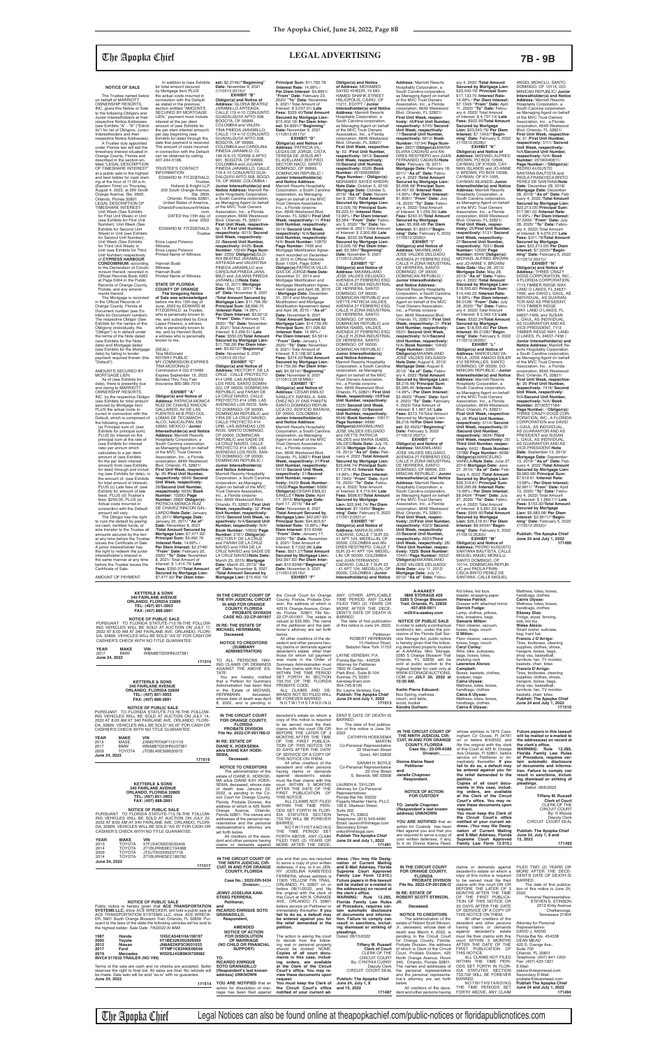## The Apopka Chief **LEGAL ADVERTISING 7B - 9B**

**NOTICE OF SALE**

 The Trustee named below on behalf of MARRIOTT<br>OWNERSHIP RESORTS OWNERSHIP RESORTS, INC. gives this Notice of Sale to the following Obligors and Junior Interestholders at their respective Notice Addresses (see Exhibits "A" - "N" ("Exhibits") for list of Obligors, Junior Interestholders and their respective Notice Addresses).

 A Trustee duly appointed under Florida law will sell the timeshare interest situated in Orange County, Florida and described in the section en-titled "LEGAL DESCRIPTION OF TIMESHARE INTEREST" at a public sale to the highest and best bidder for cash starting at the hour of 11:00 a.m. (Eastern Time) on Thursday, August 4, 2022, at 200 South Orange Avenue, Ste. 2600, Orlando, Florida 32801. LEGAL DESCRIPTION OF TIMESHARE INTEREST: Unit Week (See Exhibits for First Unit Week) in Unit (see Exhibits for First Unit Number), Unit Week (See Exhibits for Second Unit Week) in Unit (see Exhibits for Second Unit Number), Unit Week (See Exhibits for Third Unit Week) in Unit (see Exhibits for Third Unit Number) respectively of **CYPRESS HARBOUR CONDOMINIUM**, according to the Declaration of Condo-minium thereof, recorded in Official Records Book 4263 at Page 0404 in the Public Records of Orange County, Florida, and any amend-ments thereof. The Mortgage is recorded in the Offi cial Records of

amount will vary. The Obligor has the right to cure the default by paying via cash, certifi ed funds, or wire transfer to the Trustee all amounts secured by the lien at any time before the Trustee issues the Certificate of Sale A junior interestholder has the right to redeem the junior interestholder's interest in the same manner at any time before the Trustee issues the<br>Certificate of Sale.

Orange County, Florida at Document number (see Exhibits for Document number). The respective Obligor (See Exhibits for the names of the Obligors) (individually, the "Obligor") is in default under the terms of the Note dated (see Exhibits for the Note date) and Mortgage dated (see Exhibits for the Mortgage date) by failing to tender payment required therein (the "Default").

AMOUNTS SECURED BY MORTGAGE LIEN:

AMOUNT OF PAYMENT:

 As of (see Exhibits for date), there is presently due and owing to MARRIOTT OWNERSHIP RESORTS, INC. by the respective Obligor (see Exhibits for total amount secured by Mortgage lien) PLUS the actual costs incurred in connection with the Default, which is comprised of the following amounts: (a) Principal sum of: (see Exhibits for principal sum), PLUS (b) Interest on the principal sum at the rate of (see Exhibits for interest rate) per annum which calculates to a per diem amount of (see Exhibits for the per diem interest amount) from (see Exhibits for date) through and includ-ing (see Exhibits for date), in the amount of: (see Exhibits for total amount of interest), PLUS (c) Late fees of: (see Exhibits for amount of late fees), PLUS (d) Trustee's fees: \$250.00, PLUS (e) Actual costs incurred in connection with the Default: Blvd. Orlando, FL 32821/ **First Unit Week, respective-ly:** 29 /**First Unit Number, respectively:** 6846/ **Second Unit Week, respectively:** 26/**Second Unit Number, respectively:** 6935/ **Book Number:** 10200/ **Page Number:** 2683/ **Obligor(s):** PATRICIA MONICA RUIZ DE CHAVEZ RINCON GAL-LARDO/**Note Date:** January

 In addition to (see Exhibits for total amount secured by Mortgage lien) PLUS the actual costs incurred in connection with the Default as stated in the previous<br>section entitled "AMOUNTS section entitled "AMOUNTS SECURED BY MORTGAGE LIEN," payment must include interest at the per diem amount of (see Exhibits for<br>the per diem interest amount) the per diem interest amount)<br>per day beginning (see<br>Exhibits for date) through the<br>date that payment is received.<br>The amount of costs incurred in connection with the Default can be obtained by calling 407-244-5198. TRUSTEE'S CONTACT INFORMATION: EDWARD M. FITZGERALD, Trustee, Holland & Knight LLP, 200 South Orange Avenue, Ste. 2600, Orlando, Florida 32801, United States of America., OrlandoForeclosure@hklaw. com. DATED this 15th day of June, 2022. EDWARD M. FITZGERALD, **Trustee** Erica Lopez Polanco Witness Erica Lopez Polanco Printed Name of Witness Hannah Budd<br>Witness Witness Hannah Budd Printed Name of Witness **STATE OF FLORIDA COUNTY OF ORANGE The foregoing Notice of Sale was acknowledged** before me this 15th day of June, 2022 by EDWARD M. FITZGERALD, as Trustee, who is personally known to me, and subscribed by Erica Lopez Polanco, a witness who is personally known to me, and by Hannah Budd, a witness who is personally known to me. (SEAL) Tina McDonald NOTARY PUBLIC MY COMMISSION EXPIRES TINA MCDONALD Commission # GG 910482 Expires September 19, 2023 Bonded Thru Troy Fain Insurance 800-385-7019 **EXHIBIT "A" Obligor(s) and Notice of<br><b>Address:** PATRICIA MONICA<br>RUIZ DE CHAVEZ RINCON<br>GALLARDO, AV DE LAS FUENTES 49 B PISO COL LOMAS DE TECAMACH-ALCO, NAUCALPAN, EM 53950, MEXICO / **Junior Interestholder(s) and Notice Address:** Marriott Resorts Hospitality Corporation, a South Carolina corporation, as Managing Agent on behalf of the MVC Trust Owners Association, Inc., a Florida corporation, 6649 Westwood

**est:** \$2.2746//**"Beginning"<br><b>Date:** November 9, 2021<br>/(110512.0514)//<br>**EXHIBIT "B" Obligor(s) and Notice of Address:** GLORIA BEATRIZ JARAMILLO ARTEAGA, CALLE 119 4-10 CONJUNTO GUADALQUIVI APTO 508, BOGOTA, OF 99999, COLOMBIA and VALEN-TINA PINEDA JARAMILLO,<br>CALLE 119 4-10 CONJUNTO<br>GUADALQUIVI APTO 508,<br>BOGOTA, OF 99999,<br>COLOMBIA and CAROLINA<br>PINEDA JARAMILO, CL **Principal Sum:** \$11,765.78 /**Interest Rate:** 14.99% / **Per Diem Interest:** \$4.8991/ **"From" Date:** February 23, 2020/ **"To" Date:** November **Secured by Mortgage Lien:** \$15,402.19/ **Per Diem Interest:** \$4.8991//**"Beginning" Date:** November 9, 2021

140 N 6-10 TORRE 6 APTO<br>901, BOGOTA, OF 99999,<br>COLOMBIA and JULIANA<br>PINEDA JARAMILLO, CALLE<br>119 4-10 CONJUNTO GUA-<br>DALQUIVI APTO 508, BOGO-TA, OF 99999, COLOMBIA / **Junior Interestholder(s) and Notice Address:** Marriott Re-sorts Hospitality Corporation, a South Carolina corporation, as Managing Agent on behalf of the MVC Trust Owners Association, Inc., a Florida corporation, 6649 Westwood Blvd. Orlando, FL 32821/ **First Unit Week, respective-ly:** 13 /**First Unit Number, respectively:** 6015/ **Second Unit Week, respectively:** 22 /**Second Unit Number, respectively:** 6425/ **Book Number:** 10240/ **Page Num-ber:** 2255/ **Obligor(s):**GLO-RIA BEATRIZ JARAMILLO ARTEAGA and VALENTINA PINEDA JARAMILLO and CAROLINA PINEDA JARA-MILO and JULIANA PINEDA JARAMILLO/**Note Date:** May 12, 2011/ **Mortgage Date:** May 12, 2011/ **"As of" Date:** November 8, 2021 /**Total Amount Secured by Mortgage Lien:** \$11,796.26/ **Principal Sum:** \$8,696.70 /**Interest Rate:** 14.99% / **Per Diem Interest:** \$3.6212/ **"From" Date:** February 12, 2020/ **"To" Date:** November 8, 2021/ Total Amount of Interest: \$ 2,299.51/ **Late Fees:** \$550.05/**Total Amount<br><b>Secured by Mortgage Lien:**<br>\$11,796.26/ **Per Diem Inter-**<br>est: \$3.6212//**"Beginning"**<br>**Date:** November 9, 2021<br>/(110512.0515)// **EXHIBIT "C"<br>
<b>Obligor(s) and Notice of**<br> **Address:** HECTOR F. DE LA<br>
CRUZ , CALLE PROYECTO<br>
#14 URB. LAS AVENIDAS<br>
LOS RIOS, SANTO DOMIN-GO, OF 00000, DOMINICAN REPUBLIC and FARAH DE LA CRUZ NAVEO, CALLE<br>PROYECTO #14 URB. LAS<br>AVENIDAS LOS RIOS, SAN-<br>TO DOMINGO, OF 00000, DOMINICAN REPUBLIC and YIRA DE LA CRUZ NAVEO, CALLE PROYECTO #14 URB. LAS AVENIDAS LOS RIOS, SANTO DOMINGO, OF 00000, DOMINICAN REPUBLIC and SADIE DE LA CRUZ NAVEO, CALLE PROYECTO #14 URB. LAS AVENIDAS LOS RIOS, SAN-TO DOMINGO, OF 00000, DOMINICAN REPUBLIC / **Junior Interestholder(s) and Notice Address:** Marriott Resorts Hospitality Corporation, a South Carolina corporation, as Managing Agent on behalf of the MVC Trust Owners Association,<br>Inc., a Florida corpora-<br>tion, 6649 Westwood Blvd.<br>Orlando, FL 32821/ **First Unit Week, respectively:** 32 /**First Unit Number, respectively:** 5316/ **Second Unit Week, re-spectively:** N/A/**Second Unit Number, respectively:** N/A/ **Book Number:** 10902/ **Page Number:** 2161/ **Obligor(s):** HECTOR F. DE LA CRUZ and FARAH DE LA CRUZ NAVEO and YIRA DE LA CRUZ NAVEO and SADIE DE LA CRUZ NAVEO/**Note Date:** March 23, 2015/ **Mortgage Date:** March 23, 2015/ **"As**  LEGAS DE JORGE, C/STA.<br>TERESA DE JESUS #6T EL AVELLANO 3ER PISO,<br>SECTOR NACO, SANTO<br>DOMINGO, OF 99999,<br>DOMINICAN REPUBLIC / **Junior Interestholder(s) and Notice Address:** Trust Owners Association, Inc., a Florida corpora-**Unit Number, respectively:** December 31, 2014 and Mortgage Modification and<br>Mortgage Modification Agree **Principal Sum:** \$11,026.82 **est:** \$4.5914//"**Beginning"**<br>**Date:** November 9, 2021<br>/(110512.0518 MM)// **EXHIBIT** "**E"**<br> **Obligor(s) and Notice of<br>
Address: CESAR EMILIO<br>
SANLLEY, RAFAEL A, SAN-<br>
CHEZ NO 37 ENS PIANITN<br>
SANTO DOMINGO REPUB-Junior Interestholder(s) and Notice Address:** Marriott Resorts Hospitality corporation, as Managing Agent on behalf of the MVC 5412/ **Second Unit Week,**  SANLLEY/**Note Date:** April 17, 2015/ **Mortgage Date:** April 17, 2015/ **"As of" Date:** November 8, 2021

25, 2011/ **Mortgage Date:** January 25, 2011/ **"As of" Date:** November 8, 2021 /**Total Amount Secured by Mortgage Lien:** \$7,477.92/ **Principal Sum:** \$5,462.76 /**Interest Rate:** 14.99% / **Per Diem Interest:** \$2.2746/ **"From" Date:** February 25, 2020/ **"To" Date:** November 8, 2021/ Total Amount of Interest: \$ 1,414.79/ **Late Fees:** \$350.37/**Total Amount Secured by Mortgage Lien:** \$7,477.92/ **Per Diem Inter-**

CALLE H ZONA INDUSTRIAL<br>DE HERRERA, SANTO<br>DOMINGO, OF 00000,<br>DOMINICAN REPUBLIC / **Junior Interestholder(s) and Notice Address:** Marriott Resorts Hospitality Corporation, a South Carolina corporation, as Managing Agent on behalf of the MVC Trust Owners Association, Inc., a Florida corporation, 6649 Westwood Blvd. Orlando, FL 32821/ **First Unit Week, respectively:** 31 /**First Unit Number, respectively**<br>5531/ Second Unit Week, 5531/ **Second Unit Week, respectively:** N/A/**Second Unit Number, respectively:** N/A/ **Book Number:** 10443/ **Page Number:** 3396/ **Obligor(s):**MAXIMILIANO JOSE VALDES DELGADO/ **Note Date:** August 6, 2012/ **Mortgage Date:** August 6, 2012/ **"As of" Date:** Febru-ary 4, 2022 /**Total Amount Secured by Mortgage Lien:** \$8,216.48/ **Principal Sum:** \$5,985.40 /**Interest Rate:** 14.99% / **Per Diem Interest:** \$2.4923/ **"From" Date:** April 6, 2020/ **"To" Date:** February 4, 2022/ Total Amount of Interest: \$ 1,667.34/ **Late Fees:** \$313.74/TotaI Amount Secured by Mortgage Lien: \$8,216.48/**Per Diem Inter-est:** \$2.4923//**"Beginning" Date:** February 5, 2022

**of" Date:** November 8, 2021 /**Total Amount Secured by Mortgage Lien:** \$15,402.19/

ANGEL MONCLU, SANTO DOMINGO, OF 10114, DO-MINICAN REPUBLIC/ **Junior Interestholder(s) and Notice Address:** Marriott Resorts Hospitality Corporation, a South Carolina corporation as Managing Agent on behalf of the MVC Trust Owners Association, Inc., a Florida corporation, 6649 Westwood Blvd. Orlando, FL 32821/ **First Unit Week, respective-ly:** 31 /**First Unit Number, respectively:** 5111/ **Second Unit Week, respectively:** N/A/**Second Unit Number, respectively:** N/A/ **Book Number:** 20190040811/ **Page Number:** / **ObIigor(s):** PEDRO AUGUSTO SANTANA BAUTISTA and PAOLA FRANCISCA BRITO PEREZ DE SANTANA/**Note Date:** December 28, 2018/ **Mortgage Date:** December 28, 2018/ **"As of" Date:** Feb-ruary 4, 2022 /**Total Amount Secured by Mortgage Lien:** \$22,213.05/ **Principal Sum:** \$17,581.00 /**Interest Rate:** 14.99% / **Per Diem Interest:** \$7.3205/ **"From" Date:** July 28, 2020/ **"To" Date:** February 4, 2022/ Total Amount of Interest: \$ 4,070.27/ **Late Fees: \$311.78/Total Amount Secured by Mortgage Lien:** \$22,213.05/ **Per Diem Interest:** \$7.3205//**"Beginning" Date:** February 5, 2022 /(110512.0531)// **EXHIBIT "N" Obligor(s) and Notice of Address:** THREE CRAZY DOGS CORPORATION, INC., A FLORIDA CORPORATION, 7113 TIMBER RIDGE WAY,<br>LAND O LAKES, FL 34637-<br>7456, and DAVID L GAUL, AS<br>INDIVIDUAL, AS GUARAN-<br>TOR AND AS PRESIDENT,

7113 TIMBER RIDGE<br>WAY, LAND O LAKES, FL 34637-7456, and SUSAN<br>L. GAUL, AS INDIVIDUAL,<br>AS GUARANTOR AND AS<br>VICE-PRESIDENT, 7113 TIMBER RIDGE WAY, LAND O LAKES, FL 34637-7456 / **Junior Interestholder(s) and<br><b>Notice Address:** Marriott Re-<br>sorts Hospitality Corporation,<br>a South Carolina corporation, as Managing Agent on behalf of the MVC Trust Owners Association, Inc., a Florida<br>corporation, 6649 Westwood<br>Blvd. Orlando, FL 32821/<br>**First Unit Week, respectively:** 26 /**First Unit Number, respectively:** 7416/ **Second Unit Week, respectively:** N/A/**Second Unit Number, respectively:** N/A/ **Book Number:** 20190571184/ **Page Number:** / **Obligor(s):** THREE CRAZY DOGS COR-PORATION, INC., A FLORIDA<br>CORPORATION and DAVID<br>L GAUL, AS INDIVIDUAL,<br>AS GUARANTOR AND AS PRESIDENT and SUSAN<br>L. GAUL, AS INDIVIDUAL L. GAUL, AS INDIVIDUAL,<br>AS GUARANTOR AND AS<br>VICE-PRESIDENT/Note<br>Date: September 13, 2019/<br>Mortgage Date: September<br>13, 2019/ "As of" Date: Feb-<br>13, 2019/ "As of" Date: Feb-<br>Secured by Mortgage Lien:<br>\$9,983.08/ Principal Su ary 4, 2022/ Total Amount of Interest: \$ 1,960.17/ **Late Fees:** \$153.30/**Total Amount Secured by Mortgage Lien:** \$9,983.08/ **Per Diem Interest:** \$2.9611//**"Beginning" Date:** February 5, 2022 /(110512.0532)//

8, 2021/ Total Amount of Interest: \$ 3,057.01/ **Late Fees:** \$329.40/**Total Amount**  /(110512.0517)// **EXHIBIT "D" Obligor(s) and Notice of Address:** PATRICIA VIL-Marriott Resorts Hospitality Corporation, a South Carolina corporation, as Managing Agent on behalf of the MVC tion, 6649 Westwood Blvd. Orlando, FL 32821/ **First Unit Week, respectively:** 11 /**First**  5014/ **Second Unit Week,**<br> **Prespectively:** N/A/**Second<br>
Unit Number, respectively:<br>
N/A/ Book Number: 10875/<br>
<b>Page Number:** 7459 and<br>
Mortgage Modification Agreement recorded on December<br>8, 2015 in Official Records Book 11024, Page 5064/ **Obligor(s):**PATRICIA VILLE-GAS DE JORGE/**Note Date:** Mortgage Modification Agree-<br>ment dated and April 28, 2015<br>/ **Mortgage Date**: December<br>31, 2014 and Mortgage<br>Modification and Mortgage Modification Agreement dated<br>and April 28, 2015 / "**As of**" **Date:** November 8, 2021 /**Total Amount Secured by Mortgage Lien:** \$14,759.36/ /**Interest Rate:** 14.99% / **Per Diem Interest:** \$4.5914/ **"From" Date:** January 1, 2020/ **"To" Date:** November 8, 2021/ Total Amount of Interest: \$ 3,108.32/ **Late Fees:** \$374.22/**Total Amount Secured by Mortgage Lien:** \$14,759.36/ **Per Diem Inter-**LICA DO, EDIFICIO BATAVIA, OF 00000, COLOMBIA / Corporation, a South Carolina Trust Owners Association,<br>Inc., a Florida corpora-<br>tion, 6649 Westwood Blvd.<br>Orlando, FL 32821/ **First Unit Week, respectively:** 27/**First Unit Number, respectively: respectively:** 31/**Second Unit Number, respec-tively:** 5423/ **Book Number:** 10932/**Page Number:** 6689/ **Obligor(s):**CESAR EMILIO /**Total Amount Secured by Mortgage Lien:** \$42,997.92/ **Principal Sum:** \$34,803.67 /**Interest Rate:** 10.99% / **Per Diem Interest:** \$10.6248/ **"From" Date:** January 17, 2020/ **"To" Date:** November 8, 2021/ Total Amount of Interest: \$ 7,022.98/ **Late Fees:** \$921.27/**Total Amount Secured by Mortgage Lien:** \$42,997.92/ **Per Diem Interest:** \$10.6248//**"Beginning" Date:** November 9, 2021 /(110512.0519)// **EXHIBIT "F" Obligor(s) and Notice<br>of Address:** MOHAMED<br>SAYED KHEDR, 15 MO-<br>HAMED SHAFIK STREET<br>HELIOPOLIS, CAIRO, OF<br>11211, EGYPT / **Junior Interestholder(s) and Notice<br><b>Address:** Marriott Resorts<br>Hospitality Corporation, a South Carolina corporation, as Managing Agent on behalf of the MVC Trust Owners Association, Inc., a Florida corporation, 6649 Westwood Blvd. Orlando, FL 32821/ **First Unit Week, respective-ly:** 52, /**First Unit Number, respectively:** 5613/ **Second Unit Week, respectively:** 06/**Second Unit Number, respectively:** 6526/ **Book Number:** 20160528959/ **Page Number:** / **Obligor(s):** MOHAMED SAYED KHEDR/<br>**Note Dat**e: October 5, 2016/<br>**Mortgage Date:** October 5,<br>2016/ "**As of" Date:** Novem-<br>Bec, 2021 /T**otal Amount**<br>Secured by Mortgage Lien:<br>\$12,005.78/ Principal Sum: \$9,222.51 /**Interest Rate:** 13.99% / **Per Diem Interest:** \$3.584/ **"From" Date:** Febru-ary 5, 2020/ **"To" Date:** No-vember 8, 2021/ Total Amount of Interest: \$ 2,300.88/ **Late Fees:** \$232.39/**Total Amount Secured by Mortgage Lien:** \$12,005.78/ **Per Diem Inter-est:** \$3.584//**"Beginning" Date:** November 9, 2021 /(110512.0520)// **EXHIBIT "G" Obligor(s) and Notice of Address:** MAXIMILIANO JOSE VALDES DELGADO, AVENIDA 27 FEBRERO ESQ CALLE H ZONA INDUSTRIAL DE HERRERA, SANTO DOMINGO, OF 00000, DOMINICAN REPUBLIC and IVETTE PATRICIA VALDES, AVENIDA 27 FEBRERO ESQ CALLE H ZONA INDUSTRIAL DE HERRERA, SANTO<br>DOMINGO, OF 00000 DOMINGO, OF 00000,<br>DOMINICAN REPUBLIC and<br>MARIA ISABEL VALDES,<br>AVENIDA 27 FEBRERO ESQ CALLE H ZONA INDUSTRIAL DE HERRERA, SANTO<br>DOMINGO, OF 00000, DOMINICAN REPUBLIC **Junior Interestholder(s) and Notice Address:** Marriott Resorts Hospitality Corporation, a South Carolina corporation, as Managing Agent on behalf of the MVC Trust Owners Association, Inc., a Florida corporation, 6649 Westwood Blvd. Orlando, FL 32821/ **First Unit Week, respectively:** 08/**First Unit Number, respectively:** 5325/ **Second Unit Week, respectively:** 02/**Second Unit Number, respectively:** 6646/ **Book Number:** 10617/ **Page Number:** 9468/ **Obligor(s):**MAXIMILIANO<br>JOSE VALDES DELGADO<br>and IVETTE PATRICIA VALDES and MARIA ISABEL VALDES/**Note Date:** July 19, 2013/ **Mortgage Date:** July 19, 2013/ **"As of" Date:** Feb-ruary 4, 2022 /**Total Amount Secured by Mortgage Lien:** \$22,946.74/ **Principal Sum:** \$17,278.43 /**Interest Rate:** 14.99% / **Per Diem Interest:** \$7.1945/ **"From" Date:** April 19, 2020/ **"To" Date:** February 4, 2022/ Total Amount of Interest: \$ 4,719.64/ **Late Fees:** \$698.67/**Total Amount Secured by Mortgage Lien:** \$22,946.74/ **Per Diem Interest:** \$7.1945//**"Beginning" Date:** February 5, 2022 /(110512.0521)// **EXHIBIT "H" Obligor(s) and Notice of Address:** MARIA ELVIRA CADAVID, CALLE 7 SUR 23- 41 APT 104, MEDELLIN, OF 00000, COLOMBIA and AN-DRES RESTREPO, CALLE 7 SUR 23-41 APT 104, MEDEL-LIN, OF 00000, COLOMBIA and JUAN FERNANDO CADAVID, CALLE 7 SUR 23 - 41 APT 104, MEDELLIN, OF 00000, COLOMBIA / **Junior Interestholder(s) and Notice** 

**Address:** Marriott Resorts Hospitality Corporation, a South Carolina corporation, as Managing Agent on behalf of the MVC Trust Owners Association, Inc., a Florida corporation, 6649 Westwood Blvd. Orlando, FL 32821/ **First Unit Week, respectively: 48/First Unit Number respectively:** 5745/ **Second Unit Week, respectively:** 17/**Second Unit Number, respectively:** 6612/ **Book Number:** 10194/ **Page Num-ber:** 2837/ **Obligor(s):**MARIA ELVIRA CADAVID and AN-DRES RESTREPO and JUAN FERNANDO CADAVID/**Note Date:** February 18, 2011/<br>**Mortgage Date:** February 18,<br>2011/ "**As of" Date:** February 4, 2022 /**Total Amount**  Secured by Mortgage Lien:<br>\$5,998.48/ Principal Sum:<br>\$4,457.62 /Interest Rate:<br>14.99% / Per Diem Interest:<br>\$1.8561/ "From" Date: -Febru-<br>18, 2022/ Total Amount<br>ary 4, 2022/ Total Amount of Interest: \$ 1,050.55/ **Late Fees:** \$240.31/**Total Amount Secured by Mortgage Lien:** \$5,998.48/ **Per Diem Interest:** \$1.8561//**"Begin-ning" Date:** February 5, 2022 /(110512.0526)// **EXHIBIT "I" Obligor(s) and Notice of Address:** MAXIMILIANO JOSE VALDES DELGADO, AVENIDA 27 FEBRERO ESQ

/(110512.0527)// **EXHIBIT "J" Obligor(s) and Notice of<br><b>Address:** MAXIMILIANO<br>JOSE VALDES DELGADO,<br>AVENIDA 27 FEBRERO ESQ CALLE H ZONA INDUSTRIAL DE HERRERA, SANTO DOMINGO, OF 99999, DO-MINICAN REPUBLIC / **Junior Interestholder(s) and Notice Address:** Marriott Resorts Hospitality Corporation, a South Carolina corporation, as Managing Agent on behalf<br>of the MVC Trust Owners<br>Association, Inc., a Florida<br>corporation, 6649 Westwood Blvd. Orlando, FL 32821/ **First Unit Week, respectively:** 28/**First Unit Number, respectively:** 6323/ **Second Unit Week, respectively:**

25/**Second Unit Number, respectively:** 6633/**Third Unit Week, respectively:** 28/ **Third Unit Number, respec-tively: 7225**/ **Book Number:** 10441/ **Page Number:** 5952/ **ObIigor(s):**MAXIMILIANO JOSE VALDES DELGADO/ **Note Date:** July 11, 2012/ **Mortgage Date:** July 11, 2012/ **"As of" Date:** Febru-

ary 4, 2022 /**Total Amount Secured by Mortgage Lien:** \$23,043.79/ **Principal Sum:** \$17,133.70 /**Interest Rate:** 14.99% / **Per Diem Interest:** \$7.1343/ **"From" Date:** April 11, 2020/ **"To" Date:** Febru-ary 4, 2022/ Total Amount of Interest: \$ 4,737.14/ **Late Fees:** \$922.95/**Total Amount Secured by Mortgage Lien:** \$23,043.79/ **Per Diem Interest:** \$7.1343//**"Begin-ning" Date:** February 5, 2022 /(110512.0528)// **EXHIBIT "K" Obligor(s) and Notice of Address:** MICHAEL ALFRED

BROWN, PO BOX 10599, CAYMAN, OF KYI005, CAY-MAN ISLANDS and JO-ANNE V. BROWN, PO BOX 10598, CAYMAN, OF KY-1005, CAYMAN ISLANDS/ **Junior Interestholder(s) and Notice Address:** Marriott Resorts Hospitality Corporation, a South Carolina corporation, as Managing Agent on behalf of the MVC Trust Owners Association, Inc., a Florida corporation, 6649 Westwood Blvd. Orlando, FL 32821/ **First Unit Week, respec-tively:** 25/**First Unit Number, respectively:** 5131/ **Second Unit Week, respectively:** 27/**Second Unit Number, respectively:** 7031/ **Book Number:** 10626/ **Page Number:** 6549/ **Obligor(s):** MICHAEL ALFRED BROWN and JO-ANNE V. BROWN/ **Note Date:** May 28, 2013/ **Mortgage Date:** May 28, 2013/ **"As of" Date:** Febru-ary 4, 2022 /**Total Amount Secured by Mortgage Lien:** \$18,555.60/ **Principal Sum:** \$14,440.23 /**Interest Rate:** 14.99% / **Per Diem Interest:**

\$6.0128/ **"From" Date:** July 28, 2020/ **"To" Date:** Febru-ary 4, 2022/ Total Amount of Interest: \$ 3,343.13/ **Late Fees:** \$522.24/**Total Amount Secured by Mortgage Lien:** \$18,555.60/ **Per Diem Interest:** \$6.0128//**"Beginning" Date:** February 5, 2022 /(110512.0529)// **EXHIBIT "L"**

**Obligor(s) and Notice of Address:** MARCELINO VA-RELA, JOSE AMADO SOLER #12 SERRALLES, SANTO DOMINGO, OF 00000, DO-MINICAN REPUBLIC / **Junior Interestholder(s) and Notice Address:** Marriott Resorts Hospitality Corporation, a South Carolina corporation, as Managing Agent on behalf of the MVC Trust Owners Association, Inc., a Florida corporation, 6649 Westwood Blvd. Orlando, FL 32821/<br>**First Unit Week, respective-**<br>**ly:** 26 /First Unit Number,<br>respectively: 5114/ Second<br>Unit Week, respectively:30<br>/Second Unit Number, **respectively:** 5634/ **Third Unit Week, respectively:** 25/ **Third Unit Number, respectively:** 6432 / **Book Number:** 10788/ **Page Number:** 4938/ **Obligor(s):**MARCELINO VARELA/**Note Date:** June 27, 2014/ **Mortgage Date:** June 27, 2014/ **"As of" Date:** Feb-ruary 4, 2022 /**Total Amount Secured by Mortgage Lien:** \$26,316.61/ **Principal Sum:** \$29,295.98 /**Interest Rate:** 10.99% / **Per Diem Interest:** \$8.9434/ **"From" Date:** July 27, 2020/ **"To" Date:** Febru-ary 4, 2022/ Total Amount of Interest: \$ 5,661.23/ **Late Fees:** \$909.40/**Total Amount Secured by Mortgage Lien:** \$26,316.61/ **Per Diem Interest:** \$8.9434//**"Begin-ning" Date:** February 5, 2022

/(110512.0530)//<br>"EXHIBIT "M **EXHIBIT "M"<br>
<b>Obligor(s) and Notice of**<br> **Address:** PEDRO AUGUSTO<br>
SANTANA BAUTISTA, CALLE<br>
MIGUEL ANGEL MONCLU,<br>
SANTO DOMINGO, OF 10114, DOMINICAN REPUB-LIC and PAOLA FRAN-CISCA BRITO PEREZ DE SANTANA, CALLE MIGUEL

**Publish: The Apopka Chief June 24 and July 1, 2022 171490**

 **A-AAAKEY** 

## Kid bikes, kid toys,

Mattress, totes, boxes

| 340 FAIRLANE AVENUE<br>ORLANDO, FLORIDA 32809<br>TEL: (407) 851-3953<br>FAX: (407) 888-2891<br><b>NOTICE OF PUBLIC SALE</b><br>PURSUANT TO FLORIDA STATUTE-713.78-THE FOLLOW-<br>ING VEHICLES WILL BE SOLD AT AUCTION ON JULY 17<br>2022 AT 8:00 AM AT 340 FAIRLANE AVE. ORLANDO, FLORI-<br>DA, 32809. VEHICLES WILL BE SOLD "AS IS" FOR CASH OR<br>CASHIER'S CHECK WITH NO TITLE GUARANTEE.<br><b>YEAR</b><br><b>MAKE</b><br><b>VIN</b><br>WBA8B7G53HNU37381<br><b>BMW</b><br>2017<br>June 24, 2022<br>171515                                                                                                                                                                                                                                                                                                                                                                                                                                                                               | IN THE CIRCUIT COURT OF<br>THE 9TH JUDICIAL CIRCUIT<br>IN AND FOR ORANGE<br><b>COUNTY, FLORIDA</b><br>PROBATE DIVISION<br>CASE NO.:22-CP-001957<br>IN RE: THE ESTATE OF<br><b>MICHAEL HERRMANN,</b><br>Deceased.<br><b>NOTICE TO CREDITORS</b><br><b>(SUMMARY</b><br><b>ADMINISTRATION)</b><br>TO ALL PERSONS HAV-<br>ING CLAIMS OR DEMANDS<br>AGAINST THE ABOVE ES-                                                                                                                                                                                                                          | the Circuit Court for Orange<br>County, Florida, Probate Divi-<br>sion, the address of which is<br>425 N. Orange Avenue, Orlan-<br>do, Florida 32801, File No.:<br>22-CP-001957. The estate is<br>valued at \$35,000. The name<br>of the petitioner and the peti-<br>tioner's attorney are set forth<br>below.<br>All other creditors of the de-<br>cedent and other persons hav-<br>ing claims or demands against<br>decedent's estate other than<br>those for whom full payment<br>was made in the Order of<br>Summary Administration must<br>file their claims with this Court                                                                                                                                                                                                                                                                   | ANY OTHER APPLICABLE<br>TIME PERIOD. ANY CLAIM<br>FILED TWO (2) YEARS OR<br>MORE AFTER THE DECE-<br>DENT'S DATE OF DEATH IS<br>BARRED.<br>The date of first publication<br>of this notice is June 24, 2022.<br>Petitioner:<br>ROBERT HERRMANN<br>15 Harbour Road,<br>Babylon New York 11702<br>LAYNE VEREBAY, P.A.<br>Florida Bar No.: 442526<br><b>Attorney for Petitioner</b><br>7800 W. Oakland                                                                                                                                                                                                                                                                                    | <b>MINI STORAGE #29</b><br>5285 S Orange Blossom<br>Trail, Orlando, FL 32839<br>407-859-5911<br>m29@a-aaakev.com<br><b>NOTICE OF PUBLIC SALE</b><br>In order to satisfy a contractual<br>landlord's lien, under the pro-<br>visions of the Florida Self Ser-<br>vice Storage Act, public notice<br>is hereby given that the follow-<br>ing described property located<br>at A-AAAKey Mini Storage.<br>5285 S Orange Blossom Trail<br>Orlando, FL 32839, will be<br>sold at public auction to the<br>highest bidder for cash only at                                                                                                                                                                                                                                    | toaster, wrapping paper<br>Patrese Patrick:<br>Dresser with attached mirror<br>Derrick Fudge:<br>Lamp, clothes, pillows,<br>tote, sneakers, bags<br><b>Damaris Milton:</b><br>Floor cleaner, vacuum,<br>boxes, bags, couch<br>D Milton:<br>Floor cleaner, vacuum,<br>boxes, bags, couch<br>Caryl Corley:<br>Wire, bike, suitcases,<br>bags, boxes, totes,<br>shelving rack<br><b>Lawrence Alonzo</b><br>Campbell:                                                                                                                                                                                                                                                                                                                         | handbags, clothes<br><b>Cairra Ulysse:</b><br>Mattress, totes, boxes,<br>handbags, clothes<br>Elienay Diaz:<br>Fridge, wood, fencing,<br>tote, kid toy<br><b>Wales Alexis:</b><br>Small cooler, suitcase,<br>bag, hard hat<br>Francis J D'Arrigo:<br>Tires, toolboxes, cleaning<br>supplies, clothes, shoes,<br>hangers, boxes, bags,<br>shop vac, basketball,<br>furniture, fan, TV monitor,<br>baskets, chair, totes<br><b>Francis D'Arrigo:</b>                                                                                                                                         |
|----------------------------------------------------------------------------------------------------------------------------------------------------------------------------------------------------------------------------------------------------------------------------------------------------------------------------------------------------------------------------------------------------------------------------------------------------------------------------------------------------------------------------------------------------------------------------------------------------------------------------------------------------------------------------------------------------------------------------------------------------------------------------------------------------------------------------------------------------------------------------------------------------------------------------------------------------------------------------------------------|-----------------------------------------------------------------------------------------------------------------------------------------------------------------------------------------------------------------------------------------------------------------------------------------------------------------------------------------------------------------------------------------------------------------------------------------------------------------------------------------------------------------------------------------------------------------------------------------------|-----------------------------------------------------------------------------------------------------------------------------------------------------------------------------------------------------------------------------------------------------------------------------------------------------------------------------------------------------------------------------------------------------------------------------------------------------------------------------------------------------------------------------------------------------------------------------------------------------------------------------------------------------------------------------------------------------------------------------------------------------------------------------------------------------------------------------------------------------|---------------------------------------------------------------------------------------------------------------------------------------------------------------------------------------------------------------------------------------------------------------------------------------------------------------------------------------------------------------------------------------------------------------------------------------------------------------------------------------------------------------------------------------------------------------------------------------------------------------------------------------------------------------------------------------|------------------------------------------------------------------------------------------------------------------------------------------------------------------------------------------------------------------------------------------------------------------------------------------------------------------------------------------------------------------------------------------------------------------------------------------------------------------------------------------------------------------------------------------------------------------------------------------------------------------------------------------------------------------------------------------------------------------------------------------------------------------------|-------------------------------------------------------------------------------------------------------------------------------------------------------------------------------------------------------------------------------------------------------------------------------------------------------------------------------------------------------------------------------------------------------------------------------------------------------------------------------------------------------------------------------------------------------------------------------------------------------------------------------------------------------------------------------------------------------------------------------------------|--------------------------------------------------------------------------------------------------------------------------------------------------------------------------------------------------------------------------------------------------------------------------------------------------------------------------------------------------------------------------------------------------------------------------------------------------------------------------------------------------------------------------------------------------------------------------------------------|
| <b>KETTERLE &amp; SONS</b><br><b>340 FAIRLANE AVENUE</b><br>ORLANDO, FLORIDA 32809<br>TEL: (407) 851-3953<br>FAX: (407) 888-2891<br><b>NOTICE OF PUBLIC SALE</b>                                                                                                                                                                                                                                                                                                                                                                                                                                                                                                                                                                                                                                                                                                                                                                                                                             | TATE:<br>You<br>are hereby notified<br>that a Petition for Summary<br>Administration has been filed<br>in the Estate of MICHAEL<br>HERRMANN,<br>deceased,<br>whose date of death was April<br>8, 2022, and is pending in                                                                                                                                                                                                                                                                                                                                                                      | WITHIN THE TIME PERIOD<br>SET FORTH IN SECTION<br>733.702 OF THE FLORIDA<br>PROBATE CODE.<br>ALL CLAIMS AND DE-<br>MANDS NOT SO FILED WILL<br>BE FOREVER BARRED.<br>NOTWITHSTANDING                                                                                                                                                                                                                                                                                                                                                                                                                                                                                                                                                                                                                                                                 | Park Blvd., Suite B-104<br>Sunrise, FL 33351<br>lverebay@aol.com<br>954-745-8100<br>By: Layne Verebay, Esq.<br><b>Publish: The Apopka Chief</b><br>June 24 and July 1, 2022<br>171513                                                                                                                                                                                                                                                                                                                                                                                                                                                                                                 | WWW.STORAGEAUCTIONS.<br>COM on JULY 20, 2022 at<br>10:30 AM.<br>Karlin Pierre Edouard:<br>Box Spring, mattress,<br>couch, end table,<br>wood, bucket<br>Kendra Durham:                                                                                                                                                                                                                                                                                                                                                                                                                                                                                                                                                                                                 | Boxes, baskets, clothes,<br>dustpan, bags<br>Caina Ulysse:<br>Mattress, totes, boxes,<br>handbags, clothes<br>Caina A Ulysse:<br>Mattress, totes, boxes,<br>handbags, clothes<br>Cairra A Ulysse:                                                                                                                                                                                                                                                                                                                                                                                                                                                                                                                                         | Tires, toolboxes, cleaning<br>supplies, clothes, shoes,<br>hangers, boxes, bags,<br>shop vac, basketball,<br>furniture, fan, TV monitor,<br>baskets, chair, totes<br><b>Publish: The Apopka Chief</b><br>June 24 and July 1, 2022<br>171510                                                                                                                                                                                                                                                                                                                                                |
| PURSUANT TO FLORIDA STATUTE-713.78-THE FOLLOW-<br>ING VEHICLES WILL BE SOLD AT AUCTION ON JULY 14,<br>2022 AT 8:00 AM AT 340 FAIRLANE AVE. ORLANDO, FLORI-<br>DA, 32809. VEHICLES WILL BE SOLD "AS IS" FOR CASH OR<br>CASHIER'S CHECK WITH NO TITLE GUARANTEE.<br><b>YEAR</b><br><b>MAKE</b><br><b>VIN</b><br>MASE.<br>ZAM57RTA9F1151119<br>2015<br><b>BMW</b><br>WBA8B7G53HNU37381<br>2017<br>2009<br>TOYOTA<br>JTDBL40E399030072<br><b>June 24, 2022</b><br>171516                                                                                                                                                                                                                                                                                                                                                                                                                                                                                                                         | IN THE CIRCUIT COURT<br>FOR ORANGE COUNTY,<br><b>FLORIDA</b><br>PROBATE DIVISION<br>File No. 2022-CP-001786-O<br>IN RE: ESTATE OF<br><b>DIANE K. HOEKSEMA</b><br>a/k/a DIANE KAY HOEK-<br>SEMA.<br>Deceased.                                                                                                                                                                                                                                                                                                                                                                                  | decedent's estate on whom a<br>copy of this notice is required<br>to be served must file their<br>claims with this court ON OR<br>BEFORE THE LATER OF 3<br>MONTHS AFTER THE TIME<br>OF THE FIRST PUBLICA-<br>TION OF THIS NOTICE OR<br>30 DAYS AFTER THE DATE<br>OF SERVICE OF A COPY OF<br>THIS NOTICE ON THEM.                                                                                                                                                                                                                                                                                                                                                                                                                                                                                                                                    | DENT'S DATE OF DEATH IS<br><b>BARRED</b><br>The date of first publica-<br>tion of this notice is June 24,<br>2022.<br>CATHRYN HOEKSEMA<br><b>MARTIN</b><br>Co-Personal Representative<br>22 Sherman Street<br>Gonic, NH 03839                                                                                                                                                                                                                                                                                                                                                                                                                                                         | IN THE CIRCUIT COURT OF<br>THE NINTH JUDICIAL CIR-<br><b>CUIT. IN AND FOR ORANGE</b><br><b>COUNTY, FLORIDA</b><br>Case No.: 22-DR-6389<br>Division:<br>Donna Alaina Reed                                                                                                                                                                                                                                                                                                                                                                                                                                                                                                                                                                                               | whose address is 1875 Cass-<br>ingham Cir Ocoee, FI 34761<br>on or before 8/4/2022, and<br>file the original with the clerk<br>of this Court at 425 N. Orange<br>Ave Orlando, FI 32801, before<br>service on Petitioner or im-<br>mediately thereafter. If you                                                                                                                                                                                                                                                                                                                                                                                                                                                                            | Future papers in this lawsuit<br>will be mailed or e-mailed to<br>the address(es) on record at<br>the clerk's office.<br><b>WARNING: Rule 12,285.</b><br>Florida Family Law Rules<br>of Procedure, requires cer-<br>tain automatic disclosure                                                                                                                                                                                                                                                                                                                                              |
| <b>KETTERLE &amp; SONS</b><br><b>340 FAIRLANE AVENUE</b><br>ORLANDO, FLORIDA 32809<br>TEL: (407) 851-3953<br>FAX: (407) 888-2891<br><b>NOTICE OF PUBLIC SALE</b><br>PURSUANT TO FLORIDA STATUTE-713.78-THE FOLLOW-<br>ING VEHICLES WILL BE SOLD AT AUCTION ON JULY 22,<br>2022 AT 8:00 AM AT 340 FAIRLANE AVE. ORLANDO, FLORI-<br>DA, 32809. VEHICLES WILL BE SOLD "AS IS" FOR CASH OR<br>CASHIER'S CHECK WITH NO TITLE GUARANTEE.<br>YEAR<br><b>MAKE</b><br><b>VIN</b><br>5TFJX4CN5DX033409<br>2013<br><b>TOYOTA</b><br><b>TOYOTA</b><br>2T1BURHE6EC194368<br>2014                                                                                                                                                                                                                                                                                                                                                                                                                          | <b>NOTICE TO CREDITORS</b><br>The administration of the<br>estate of DIANE K. HOEKSE-<br>MA a/k/a DIANE KAY HOEK-<br>SEMA, deceased, whose date<br>of death was January 22,<br>2022, is pending in the Cir-<br>cuit Court for Orange County,<br>Florida, Probate Division, the<br>address of which is 425 North<br>Orange Avenue, Orlando,<br>Florida 32801. The names and<br>addresses of the personal rep-<br>resentative and the personal<br>representative's attorney are<br>set forth below.<br>All creditors of the dece-<br>dent and other persons having<br>claims or demands against | All other creditors of the<br>decedent and other persons<br>having claims or demands<br>against decedent's estate<br>must file their claims with this<br>court WITHIN 3 MONTHS<br>AFTER THE DATE OF THE<br>FIRST PUBLICATION OF<br>THIS NOTICE.<br>ALL CLAIMS NOT FILED<br>WITHIN THE TIME PERI-<br>ODS SET FORTH IN FLOR-<br>IDA STATUTES SECTION<br>733.702 WILL BE FOREVER<br>BARRED.<br>NOTWITHSTANDING<br>THE TIME PERIOD SET<br>FORTH ABOVE, ANY CLAIM<br>FILED TWO (2) YEARS OR<br>MORE AFTER THE DECE-                                                                                                                                                                                                                                                                                                                                      | SARAH H. BOYLE<br>Co-Personal Representative<br>22 Vine Street<br>S. Berwick, ME 03908<br>LAUREN A. TAYLOR<br>Attorney for Co-Personal<br>Representatives<br>Florida Bar No: 93232<br>Fogarty Mueller Harris, PLLC<br>100 E. Madison Street,<br>Suite 202<br>Tampa, FL 33602<br>Telephone: (813) 549-4490<br>Email: lauren@fmhlegal.com<br>Secondary Email:<br>erika@fmhlegal.com<br><b>Publish The Apopka Chief</b><br>June 24 and July 1, 2022<br>171491                                                                                                                                                                                                                            | <b>Petitioner</b><br>and<br>Janelle Chapman<br>Respondent.<br><b>NOTICE OF ACTION</b><br><b>FOR CUSTODY</b><br>TO: Janelle Chapman<br>{Respondent's last known<br>address} UNKNOWN<br>YOU ARE NOTIFIED that an<br>action for Custody has been<br>filed against you and that you<br>are required to serve a copy of<br>your written defenses, if any,<br>to it on Donna Alaina Reed,                                                                                                                                                                                                                                                                                                                                                                                    | fail to do so, a default may<br>be entered against you for<br>the relief demanded in the<br>petition.<br>Copies of all court docu-<br>ments in this case, includ-<br>ing orders, are available<br>at the Clerk of the Circuit<br>Court's office. You may re-<br>view these documents upon<br>request.<br>You must keep the Clerk of<br>the Circuit Court's office<br>notified of your current ad-<br>dress. (You may file Desig-<br>nation of Current Mailing<br>and E-Mail Address, Florida<br>Supreme Court Approved<br>Family Law Form 12.915.)                                                                                                                                                                                        | of documents and informa-<br>tion. Failure to comply can<br>result in sanctions, includ-<br>ing dismissal or striking of<br>pleadings.<br>Dated: 06/6/2022<br><b>Tiffany M. Russell</b><br><b>Clerk of Court</b><br><b>CLERK OF THE</b><br><b>CIRCUIT COURT</b><br>By: S Woods<br>Deputy Clerk<br>CIRCUIT COURT SEAL<br><b>Publish: The Apopka Chief</b><br>June 24, July 1, 8 and<br>15, 2022<br>171492                                                                                                                                                                                   |
| <b>TOYOTA</b><br>2009<br>JTDJT903X95237718<br>2014<br>TOYOTA<br>2T1BURHE5EC189792<br>June 24, 2022<br>171517<br><b>NOTICE OF PUBLIC SALE</b><br>Public notice is hereby given that ACE TRANSPORTATION<br><b>SYSTEMS LLC, d/b/a ACE WRECKER, will hold a public sale at</b><br>ACE TRANSPORTATION SYSTEMS LLC, d/b/a ACE WRECK-<br>ER, 5601 South Orange Blossom Trail, Orlando, FL 32839. Pur-<br>suant to the laws of the state the following vehicles will be sold to<br>the highest bidder. Sale Date: 7/6/2022 At 8AM<br>1987<br>1HGCA5481HA158197<br>Honda<br>4T1BE32K05U509365<br>2005<br>Toyota<br>JN8AE2KP3C9031033<br>2012<br>Nissan<br>2017<br>Ford<br>1FTMF1C82HKE06546<br>WDDSJ4GB9KN739982<br>2019<br><b>Mercedes</b><br>INVC# 517632 TRAILER (NO VIN)<br>Terms of the sale are cash and no checks are accepted. Seller<br>reserves the right to final bid. All sales are final. No refunds will<br>be made. Sale auto will be sold "as-is" with no guarantee.<br>June 24, 2022 | IN THE CIRCUIT COURT OF<br>THE NINTH JUDICIAL CIR-<br><b>CUIT. IN AND FOR ORANGE</b><br><b>COUNTY, FLORIDA</b><br>Case No.: 2022-DR-5434<br>Division:<br>JENNY JOSELINA KAM-<br><b>STEEG FERRERA,</b><br>Petitioner,<br>and<br><b>RICARDO ENRIQUE SOTO</b><br><b>GRANADILLO.</b><br>Respondent,<br><b>AMENDED</b><br><b>NOTICE OF ACTION</b><br><b>FOR DISSOLUTION</b><br><b>OF MARRIAGE</b><br>(NO CHILD OR FINANCIAL<br>SUPPORT)<br>TO:<br><b>RICARDO ENRIQUE</b><br><b>SOTO GRANADILLO</b><br>{Respondent's last known<br>address} UNKNOWN                                                 | you and that you are required<br>to serve a copy of your written<br>defenses, if any, to it on JEN-<br>NY JOSELINA KAMSTEEG<br>FERRERA, whose address is<br>11905 YELLOW FIN TRAIL,<br>ORLANDO. FL 32827 on or<br>before 08/11/2022, and file<br>the original with the clerk of<br>this Court at 425 N. ORANGE<br>AVE., ORLANDO, FL 32801<br>before service on Petitioner or<br>immediately thereafter. If you<br>fail to do so, a default may<br>be entered against you for<br>the relief demanded in the<br>petition.<br>The action is asking the court<br>to decide how the follow-<br>ing real or personal property<br>should be divided: NONE.<br>Copies of all court docu-<br>ments in this case, includ-<br>ing orders, are available<br>at the Clerk of the Circuit<br>Court's office. You may re-<br>view these documents upon<br>request. | dress. (You may file Desig-<br>nation of Current Mailing<br>and E-Mail Address, Florida<br>Supreme Court Approved<br>Family Law Form 12.915.)<br>Future papers in this lawsuit<br>will be mailed or e-mailed to<br>the address(es) on record at<br>the clerk's office.<br><b>WARNING:</b> Rule 12.285,<br>Florida Family Law Rules<br>of Procedure, requires cer-<br>tain automatic disclosure<br>of documents and informa-<br>tion. Failure to comply can<br>result in sanctions, includ-<br>ing dismissal or striking of<br>pleadings.<br>Dated: 06/15/2022<br><b>Clerk of Court</b><br>CLERK OF THE<br>By: CYNTHIA CURRY<br>CIRCUIT COURT SEAL<br><b>Publish: The Apopka Chief</b> | IN THE CIRCUIT COURT<br>FOR ORANGE COUNTY,<br><b>FLORIDA</b><br><b>PROBATE DIVISION</b><br>File No. 2022-CP-001206-O<br>IN RE: ESTATE OF<br>ROBERT SCOTT STINSON,<br>JR.<br>Deceased.<br><b>NOTICE TO CREDITORS</b><br>The administration of the<br>estate of Robert Scott Stinson,<br>Jr., deceased, whose date of<br>death was March 4, 2022, is<br>pending in the Circuit Court<br>for Orange County, Florida,<br><b>Tiffany M. Russell</b> Probate Division, the address<br>of which is Clerk of the Circuit<br>Court, Probate Division, 425<br>CIRCUIT COURT North Orange Avenue, Room<br>340, Orlando, Florida 32801.<br>Deputy Clerk The names and addresses of<br>the personal representative<br>and the personal representa-<br>tive's attorney are set forth | claims or demands against<br>decedent's estate on whom a<br>copy of this notice is required<br>to be served must file their<br>claims with this court ON OR<br>BEFORE THE LATER OF 3<br>MONTHS AFTER THE TIME<br>OF THE FIRST PUBLICA-<br>TION OF THIS NOTICE OR<br>30 DAYS AFTER THE DATE<br>OF SERVICE OF A COPY OF<br>THIS NOTICE ON THEM.<br>All other creditors of the<br>decedent and other persons<br>having claims or demands<br>against decedent's estate<br>must file their claims with this<br>court WITHIN 3 MONTHS<br>AFTER THE DATE OF THE<br>FIRST PUBLICATION OF<br>THIS NOTICE.<br>ALL CLAIMS NOT FILED<br>WITHIN THE TIME PERI-<br>ODS SET FORTH IN FLOR-<br>IDA STATUTES SECTION<br>733.702 WILL BE FOREVER<br>BARRED. | FILED TWO (2) YEARS OR<br>MORE AFTER THE DECE-<br>DENT'S DATE OF DEATH IS<br><b>BARRED</b><br>The date of first publica-<br>tion of this notice is June 24.<br>2022<br>Personal Representative:<br><b>STEVEN S. STINSON</b><br>2212 Kirby Avenue<br>Chattanooga<br>Tennessee 37404<br>Attorney for Personal<br>Representative:<br>DAVID J. AKINS<br>Florida Bar No. 454338<br><b>DEAN MEAD</b><br>420 S. Orange Ave.,<br>Suite 700<br>Orlando, FL 32801<br>Telephone: (407) 841-1200<br>Fax: (407) 423-1831<br>E-Mail:<br>dakins@deanmead.com<br>Secondary E-Mail:<br>probate@deanmead.com |
| 171514                                                                                                                                                                                                                                                                                                                                                                                                                                                                                                                                                                                                                                                                                                                                                                                                                                                                                                                                                                                       | YOU ARE NOTIFIED that an<br>action for dissolution of mar-<br>riage has been filed against                                                                                                                                                                                                                                                                                                                                                                                                                                                                                                    | You must keep the Clerk of<br>the Circuit Court's office<br>notified of your current ad-                                                                                                                                                                                                                                                                                                                                                                                                                                                                                                                                                                                                                                                                                                                                                            | June 24, July 1, 8<br>and 15, 2022                                                                                                                                                                                                                                                                                                                                                                                                                                                                                                                                                                                                                                                    | below.<br>All creditors of the dece-<br>171487 dent and other persons having                                                                                                                                                                                                                                                                                                                                                                                                                                                                                                                                                                                                                                                                                           | NOTWITHSTANDING<br>THE TIME PERIODS SET<br>FORTH ABOVE, ANY CLAIM                                                                                                                                                                                                                                                                                                                                                                                                                                                                                                                                                                                                                                                                         | <b>Publish The Apopka Chief</b><br>June 24 and July 1, 2022<br>171494                                                                                                                                                                                                                                                                                                                                                                                                                                                                                                                      |

The Apopka Chief Legal Notices can also be found online at theapopkachief.com/public-notices or floridapublicnotices.com